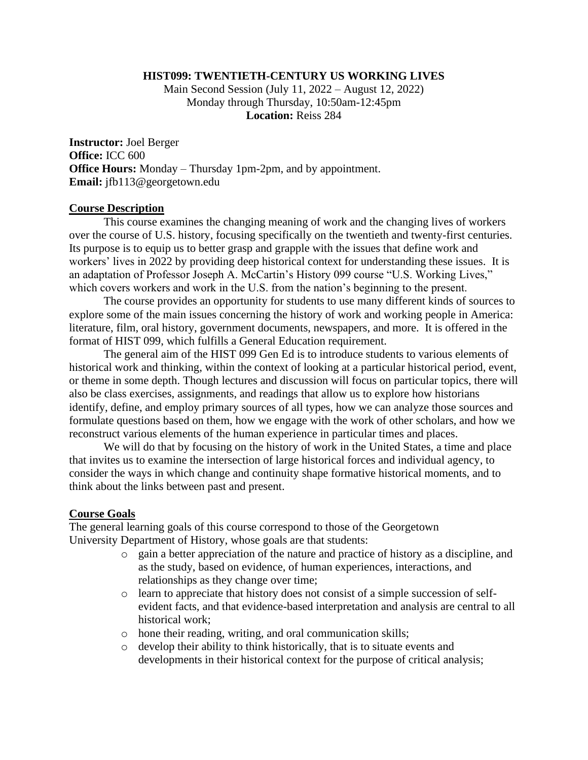# **HIST099: TWENTIETH-CENTURY US WORKING LIVES**

Main Second Session (July 11, 2022 – August 12, 2022) Monday through Thursday, 10:50am-12:45pm **Location:** Reiss 284

**Instructor:** Joel Berger **Office:** ICC 600 **Office Hours:** Monday – Thursday 1pm-2pm, and by appointment. **Email:** jfb113@georgetown.edu

#### **Course Description**

This course examines the changing meaning of work and the changing lives of workers over the course of U.S. history, focusing specifically on the twentieth and twenty-first centuries. Its purpose is to equip us to better grasp and grapple with the issues that define work and workers' lives in 2022 by providing deep historical context for understanding these issues. It is an adaptation of Professor Joseph A. McCartin's History 099 course "U.S. Working Lives," which covers workers and work in the U.S. from the nation's beginning to the present.

The course provides an opportunity for students to use many different kinds of sources to explore some of the main issues concerning the history of work and working people in America: literature, film, oral history, government documents, newspapers, and more. It is offered in the format of HIST 099, which fulfills a General Education requirement.

The general aim of the HIST 099 Gen Ed is to introduce students to various elements of historical work and thinking, within the context of looking at a particular historical period, event, or theme in some depth. Though lectures and discussion will focus on particular topics, there will also be class exercises, assignments, and readings that allow us to explore how historians identify, define, and employ primary sources of all types, how we can analyze those sources and formulate questions based on them, how we engage with the work of other scholars, and how we reconstruct various elements of the human experience in particular times and places.

We will do that by focusing on the history of work in the United States, a time and place that invites us to examine the intersection of large historical forces and individual agency, to consider the ways in which change and continuity shape formative historical moments, and to think about the links between past and present.

#### **Course Goals**

The general learning goals of this course correspond to those of the Georgetown University Department of History, whose goals are that students:

- o gain a better appreciation of the nature and practice of history as a discipline, and as the study, based on evidence, of human experiences, interactions, and relationships as they change over time;
- o learn to appreciate that history does not consist of a simple succession of selfevident facts, and that evidence-based interpretation and analysis are central to all historical work;
- o hone their reading, writing, and oral communication skills;
- o develop their ability to think historically, that is to situate events and developments in their historical context for the purpose of critical analysis;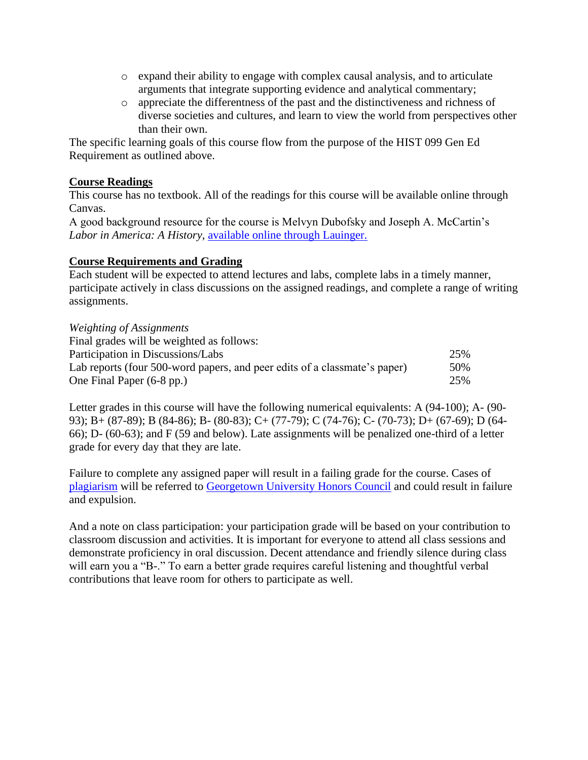- o expand their ability to engage with complex causal analysis, and to articulate arguments that integrate supporting evidence and analytical commentary;
- o appreciate the differentness of the past and the distinctiveness and richness of diverse societies and cultures, and learn to view the world from perspectives other than their own.

The specific learning goals of this course flow from the purpose of the HIST 099 Gen Ed Requirement as outlined above.

# **Course Readings**

This course has no textbook. All of the readings for this course will be available online through Canvas.

A good background resource for the course is Melvyn Dubofsky and Joseph A. McCartin's *Labor in America: A History,* [available online through Lauinger.](https://wrlc-gu.primo.exlibrisgroup.com/discovery/fulldisplay?docid=alma991037307724404111&context=L&vid=01WRLC_GUNIV:01WRLC_GUNIV&lang=en&search_scope=WRLC_GT_CI&adaptor=Local%20Search%20Engine&isFrbr=true&tab=Everything&query=any,contains,labor%20in%20america:%20a%20history&sortby=date_d&facet=frbrgroupid,include,27332093873012440&offset=0)

# **Course Requirements and Grading**

Each student will be expected to attend lectures and labs, complete labs in a timely manner, participate actively in class discussions on the assigned readings, and complete a range of writing assignments.

#### *Weighting of Assignments*

| Final grades will be weighted as follows:                                 |     |
|---------------------------------------------------------------------------|-----|
| Participation in Discussions/Labs                                         | 25% |
| Lab reports (four 500-word papers, and peer edits of a classmate's paper) | 50% |
| One Final Paper (6-8 pp.)                                                 | 25% |

Letter grades in this course will have the following numerical equivalents: A (94-100); A- (90- 93); B+ (87-89); B (84-86); B- (80-83); C+ (77-79); C (74-76); C- (70-73); D+ (67-69); D (64- 66); D- (60-63); and F (59 and below). Late assignments will be penalized one-third of a letter grade for every day that they are late.

Failure to complete any assigned paper will result in a failing grade for the course. Cases of [plagiarism](https://honorcouncil.georgetown.edu/https%3A/honorcouncil.georgetown.edu/faculty/plagiarism-checklist) will be referred to [Georgetown University Honors Council](https://honorcouncil.georgetown.edu/system/policies) and could result in failure and expulsion.

And a note on class participation: your participation grade will be based on your contribution to classroom discussion and activities. It is important for everyone to attend all class sessions and demonstrate proficiency in oral discussion. Decent attendance and friendly silence during class will earn you a "B-." To earn a better grade requires careful listening and thoughtful verbal contributions that leave room for others to participate as well.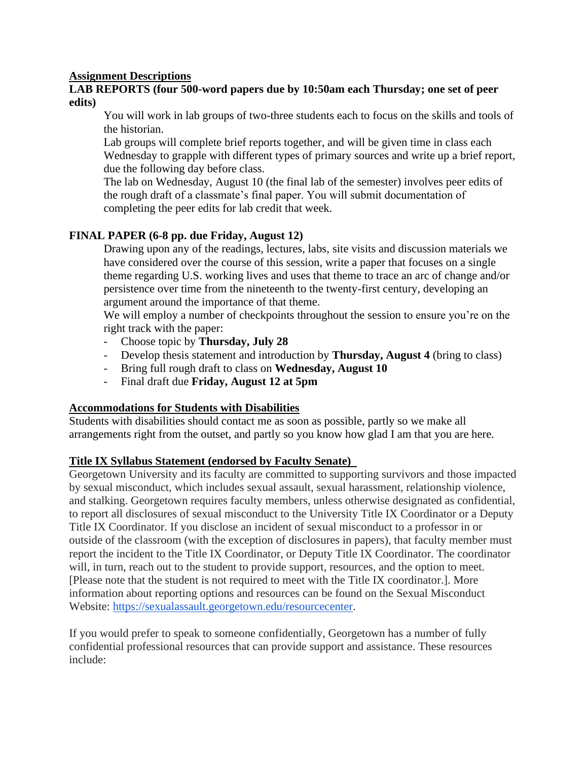# **Assignment Descriptions**

# **LAB REPORTS (four 500-word papers due by 10:50am each Thursday; one set of peer edits)**

You will work in lab groups of two-three students each to focus on the skills and tools of the historian.

Lab groups will complete brief reports together, and will be given time in class each Wednesday to grapple with different types of primary sources and write up a brief report, due the following day before class.

The lab on Wednesday, August 10 (the final lab of the semester) involves peer edits of the rough draft of a classmate's final paper. You will submit documentation of completing the peer edits for lab credit that week.

# **FINAL PAPER (6-8 pp. due Friday, August 12)**

Drawing upon any of the readings, lectures, labs, site visits and discussion materials we have considered over the course of this session, write a paper that focuses on a single theme regarding U.S. working lives and uses that theme to trace an arc of change and/or persistence over time from the nineteenth to the twenty-first century, developing an argument around the importance of that theme.

We will employ a number of checkpoints throughout the session to ensure you're on the right track with the paper:

- Choose topic by **Thursday, July 28**
- Develop thesis statement and introduction by **Thursday, August 4** (bring to class)
- Bring full rough draft to class on **Wednesday, August 10**
- Final draft due **Friday, August 12 at 5pm**

# **Accommodations for Students with Disabilities**

Students with disabilities should contact me as soon as possible, partly so we make all arrangements right from the outset, and partly so you know how glad I am that you are here.

# **Title IX Syllabus Statement (endorsed by Faculty Senate)**

Georgetown University and its faculty are committed to supporting survivors and those impacted by sexual misconduct, which includes sexual assault, sexual harassment, relationship violence, and stalking. Georgetown requires faculty members, unless otherwise designated as confidential, to report all disclosures of sexual misconduct to the University Title IX Coordinator or a Deputy Title IX Coordinator. If you disclose an incident of sexual misconduct to a professor in or outside of the classroom (with the exception of disclosures in papers), that faculty member must report the incident to the Title IX Coordinator, or Deputy Title IX Coordinator. The coordinator will, in turn, reach out to the student to provide support, resources, and the option to meet. [Please note that the student is not required to meet with the Title IX coordinator.]. More information about reporting options and resources can be found on the Sexual Misconduct Website: [https://sexualassault.georgetown.edu/resourcecenter.](https://sexualassault.georgetown.edu/resourcecenter)

If you would prefer to speak to someone confidentially, Georgetown has a number of fully confidential professional resources that can provide support and assistance. These resources include: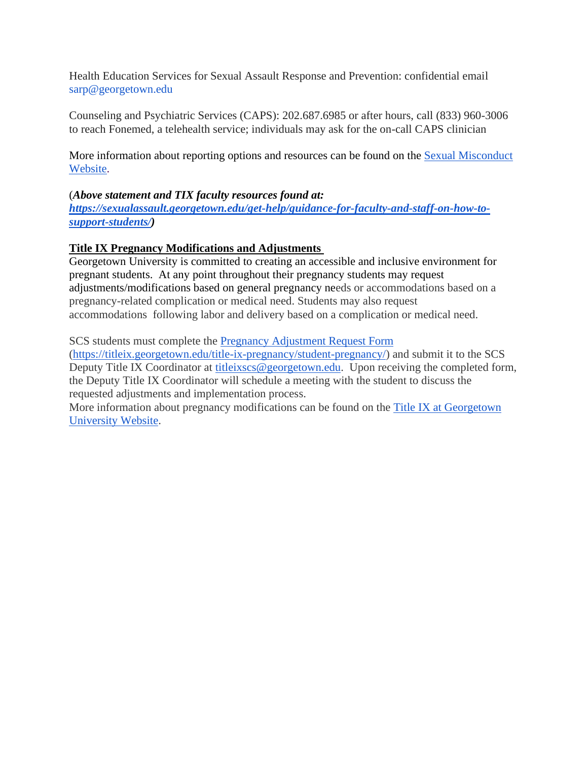Health Education Services for Sexual Assault Response and Prevention: confidential email sarp@georgetown.edu

Counseling and Psychiatric Services (CAPS): 202.687.6985 or after hours, call (833) 960-3006 to reach Fonemed, a telehealth service; individuals may ask for the on-call CAPS clinician

More information about reporting options and resources can be found on the [Sexual Misconduct](https://sexualassault.georgetown.edu/get-help/resourcecenter/)  [Website.](https://sexualassault.georgetown.edu/get-help/resourcecenter/)

# (*Above statement and TIX faculty resources found at:*

*[https://sexualassault.georgetown.edu/get-help/guidance-for-faculty-and-staff-on-how-to](https://sexualassault.georgetown.edu/get-help/guidance-for-faculty-and-staff-on-how-to-support-students/)[support-students/\)](https://sexualassault.georgetown.edu/get-help/guidance-for-faculty-and-staff-on-how-to-support-students/)*

# **Title IX Pregnancy Modifications and Adjustments**

Georgetown University is committed to creating an accessible and inclusive environment for pregnant students. At any point throughout their pregnancy students may request adjustments/modifications based on general pregnancy needs or accommodations based on a pregnancy-related complication or medical need. Students may also request accommodations following labor and delivery based on a complication or medical need.

SCS students must complete the [Pregnancy Adjustment Request Form](https://titleix.georgetown.edu/title-ix-pregnancy/student-pregnancy/)

[\(https://titleix.georgetown.edu/title-ix-pregnancy/student-pregnancy/\)](https://titleix.georgetown.edu/title-ix-pregnancy/student-pregnancy/) and submit it to the SCS Deputy Title IX Coordinator at [titleixscs@georgetown.edu.](mailto:titleixscs@georgetown.edu) Upon receiving the completed form, the Deputy Title IX Coordinator will schedule a meeting with the student to discuss the requested adjustments and implementation process.

More information about pregnancy modifications can be found on the [Title IX at Georgetown](https://titleix.georgetown.edu/title-ix-pregnancy/student-pregnancy/)  [University Website.](https://titleix.georgetown.edu/title-ix-pregnancy/student-pregnancy/)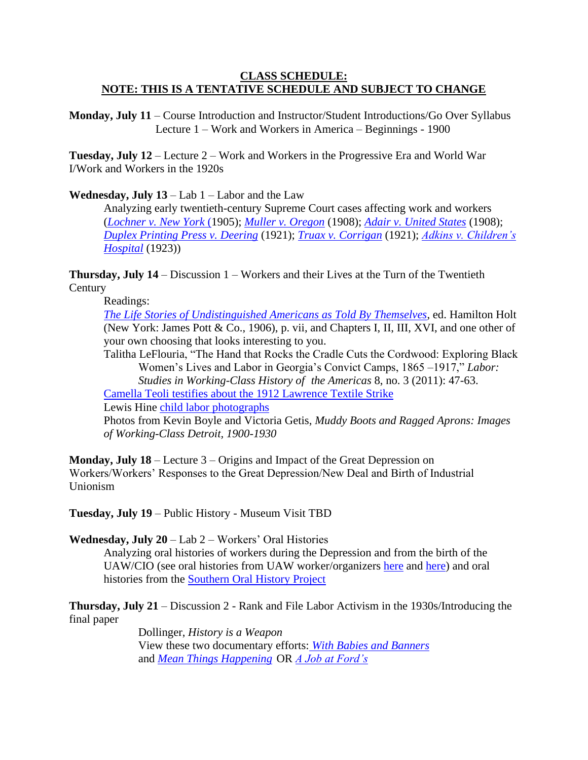# **CLASS SCHEDULE: NOTE: THIS IS A TENTATIVE SCHEDULE AND SUBJECT TO CHANGE**

**Monday, July 11** – Course Introduction and Instructor/Student Introductions/Go Over Syllabus Lecture 1 – Work and Workers in America – Beginnings - 1900

**Tuesday, July 12** – Lecture 2 – Work and Workers in the Progressive Era and World War I/Work and Workers in the 1920s

**Wednesday, July 13** – Lab 1 – Labor and the Law

Analyzing early twentieth-century Supreme Court cases affecting work and workers (*[Lochner v. New York](https://www.oyez.org/cases/1900-1940/198us45)* (1905); *[Muller v. Oregon](https://www.oyez.org/cases/1900-1940/208us412)* (1908); *[Adair v. United States](https://www.oyez.org/cases/1900-1940/208us161)* (1908); *[Duplex Printing Press v. Deering](https://en.wikipedia.org/wiki/Duplex_Printing_Press_Co._v._Deering)* (1921); *[Truax v. Corrigan](https://www.lexisnexis.com/community/casebrief/p/casebrief-truax-v-corrigan)* (1921); *[Adkins v. Children's](https://www.oyez.org/cases/1900-1940/261us525)  [Hospital](https://www.oyez.org/cases/1900-1940/261us525)* (1923))

**Thursday, July 14** – Discussion 1 – Workers and their Lives at the Turn of the Twentieth **Century** 

Readings:

*[The Life Stories of Undistinguished Americans as Told By Themselves](https://babel.hathitrust.org/cgi/pt?id=hvd.32044004557427&view=1up&seq=7&skin=2021)*, ed. Hamilton Holt (New York: James Pott & Co., 1906), p. vii, and Chapters I, II, III, XVI, and one other of your own choosing that looks interesting to you.

Talitha LeFlouria, "The Hand that Rocks the Cradle Cuts the Cordwood: Exploring Black Women's Lives and Labor in Georgia's Convict Camps, 1865 –1917," *Labor:* 

*Studies in Working-Class History of the Americas* 8, no. 3 (2011): 47-63.

[Camella Teoli testifies about the 1912 Lawrence Textile Strike](http://historymatters.gmu.edu/d/61/) Lewis Hine [child labor photographs](https://www.archives.gov/education/lessons/hine-photos)

Photos from Kevin Boyle and Victoria Getis, *Muddy Boots and Ragged Aprons: Images of Working-Class Detroit, 1900-1930*

**Monday, July 18** – Lecture 3 – Origins and Impact of the Great Depression on Workers/Workers' Responses to the Great Depression/New Deal and Birth of Industrial Unionism

**Tuesday, July 19** – Public History - Museum Visit TBD

**Wednesday, July 20** – Lab 2 – Workers' Oral Histories

Analyzing oral histories of workers during the Depression and from the birth of the UAW/CIO (see oral histories from UAW worker/organizers [here](https://archives.wayne.edu/repositories/2/resources/695) and [here\)](https://archives.wayne.edu/repositories/2/resources/1889) and oral histories from the [Southern Oral History Project](https://dc.lib.unc.edu/cdm/project/collection/sohp/)

**Thursday, July 21** – Discussion 2 - Rank and File Labor Activism in the 1930s/Introducing the final paper

> Dollinger, *History is a Weapon* View these two documentary efforts: *[With Babies and Banners](https://www.youtube.com/watch?v=pa75V-tdBko)* and *[Mean Things Happening](https://www.youtube.com/watch?v=A4RRf5T-bMM&list=PL4ANwyAiTljU6g9B-A07OphCKNzqCx37S&index=5&has_verified=1)* OR *[A Job at Ford's](https://www.youtube.com/watch?v=VjH4pCatx0I)*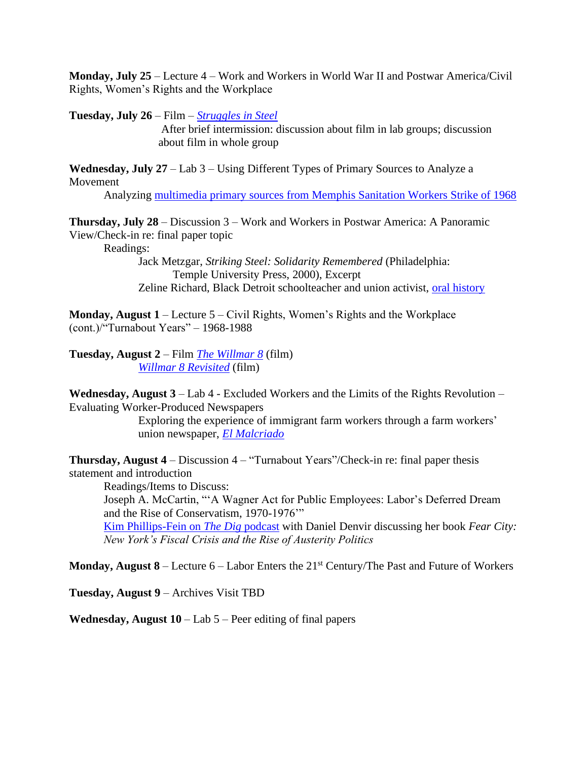**Monday, July 25** – Lecture 4 – Work and Workers in World War II and Postwar America/Civil Rights, Women's Rights and the Workplace

**Tuesday, July 26** – Film – *[Struggles in Steel](https://vimeo.com/204687148)* 

After brief intermission: discussion about film in lab groups; discussion about film in whole group

**Wednesday, July 27** – Lab 3 – Using Different Types of Primary Sources to Analyze a Movement

Analyzing multimedia [primary sources from Memphis Sanitation Workers Strike of 1968](https://projects.lib.wayne.edu/iamaman/)

**Thursday, July 28** – Discussion 3 – Work and Workers in Postwar America: A Panoramic View/Check-in re: final paper topic

Readings:

Jack Metzgar, *Striking Steel: Solidarity Remembered* (Philadelphia: Temple University Press, 2000), Excerpt Zeline Richard, Black Detroit schoolteacher and union activist, [oral history](https://rs4.reuther.wayne.edu/OralHistories/Projects/LOH002210/LOH002210_OH_025.pdf)

**Monday, August 1** – Lecture 5 – Civil Rights, Women's Rights and the Workplace (cont.)/"Turnabout Years" – 1968-1988

**Tuesday, August 2** – Film *[The Willmar 8](https://archive.org/details/thewillmar8)* (film) *[Willmar 8 Revisited](https://www.youtube.com/watch?v=FKwgHxxi0Tg)* (film)

**Wednesday, August 3** – Lab 4 - Excluded Workers and the Limits of the Rights Revolution – Evaluating Worker-Produced Newspapers

Exploring the experience of immigrant farm workers through a farm workers' union newspaper, *[El Malcriado](https://libraries.ucsd.edu/farmworkermovement/archives/)*

**Thursday, August 4** – Discussion 4 – "Turnabout Years"/Check-in re: final paper thesis statement and introduction

Readings/Items to Discuss: Joseph A. McCartin, "'A Wagner Act for Public Employees: Labor's Deferred Dream and the Rise of Conservatism, 1970-1976'"

[Kim Phillips-Fein on](https://www.thedigradio.com/podcast/fear-city-with-kim-phillips-fein/) *The Dig* podcast with Daniel Denvir discussing her book *Fear City: New York's Fiscal Crisis and the Rise of Austerity Politics*

**Monday, August 8** – Lecture  $6$  – Labor Enters the  $21<sup>st</sup>$  Century/The Past and Future of Workers

**Tuesday, August 9** – Archives Visit TBD

**Wednesday, August 10** – Lab 5 – Peer editing of final papers